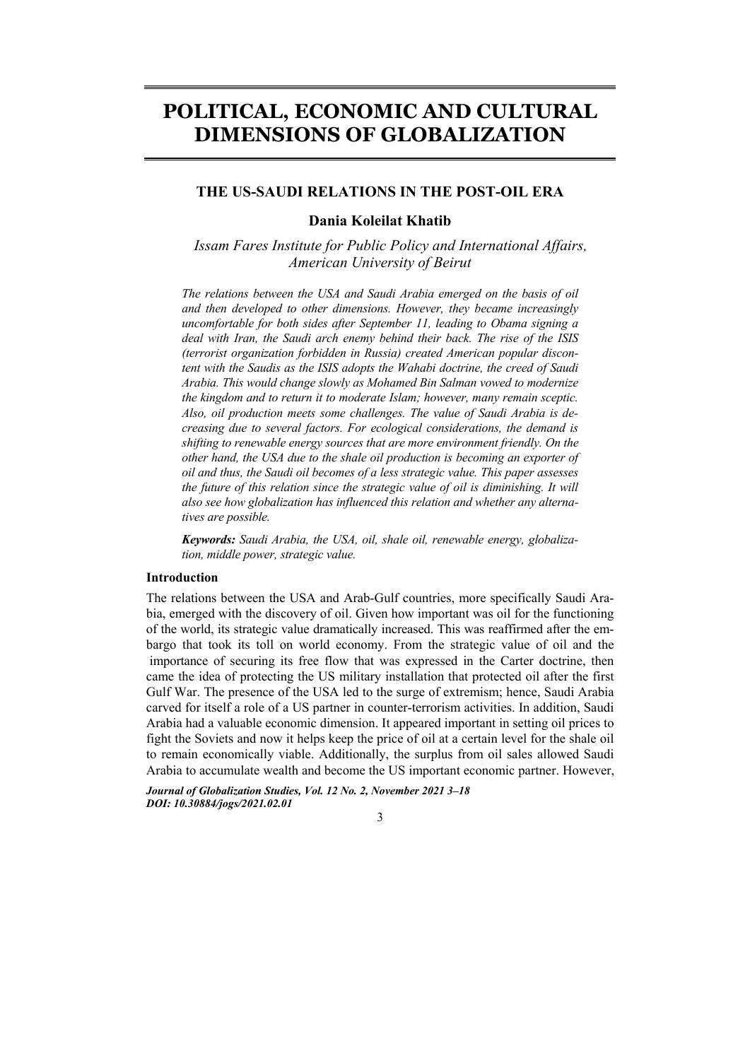# **POLITICAL, ECONOMIC AND CULTURAL DIMENSIONS OF GLOBALIZATION**

# **THE US-SAUDI RELATIONS IN THE POST-OIL ERA**

# **Dania Koleilat Khatib**

*Issam Fares Institute for Public Policy and International Affairs, American University of Beirut* 

*The relations between the USA and Saudi Arabia emerged on the basis of oil and then developed to other dimensions. However, they became increasingly uncomfortable for both sides after September 11, leading to Obama signing a deal with Iran, the Saudi arch enemy behind their back. The rise of the ISIS (terrorist organization forbidden in Russia) created American popular discontent with the Saudis as the ISIS adopts the Wahabi doctrine, the creed of Saudi Arabia. This would change slowly as Mohamed Bin Salman vowed to modernize the kingdom and to return it to moderate Islam; however, many remain sceptic. Also, oil production meets some challenges. The value of Saudi Arabia is decreasing due to several factors. For ecological considerations, the demand is shifting to renewable energy sources that are more environment friendly. On the other hand, the USA due to the shale oil production is becoming an exporter of oil and thus, the Saudi oil becomes of a less strategic value. This paper assesses the future of this relation since the strategic value of oil is diminishing. It will also see how globalization has influenced this relation and whether any alternatives are possible.* 

*Keywords: Saudi Arabia, the USA, oil, shale oil, renewable energy, globalization, middle power, strategic value.* 

# **Introduction**

The relations between the USA and Arab-Gulf countries, more specifically Saudi Arabia, emerged with the discovery of oil. Given how important was oil for the functioning of the world, its strategic value dramatically increased. This was reaffirmed after the embargo that took its toll on world economy. From the strategic value of oil and the importance of securing its free flow that was expressed in the Carter doctrine, then came the idea of protecting the US military installation that protected oil after the first Gulf War. The presence of the USA led to the surge of extremism; hence, Saudi Arabia carved for itself a role of a US partner in counter-terrorism activities. In addition, Saudi Arabia had a valuable economic dimension. It appeared important in setting oil prices to fight the Soviets and now it helps keep the price of oil at a certain level for the shale oil to remain economically viable. Additionally, the surplus from oil sales allowed Saudi Arabia to accumulate wealth and become the US important economic partner. However,

*Journal of Globalization Studies, Vol. 12 No. 2, November 2021 3–18 DOI: 10.30884/jogs/2021.02.01*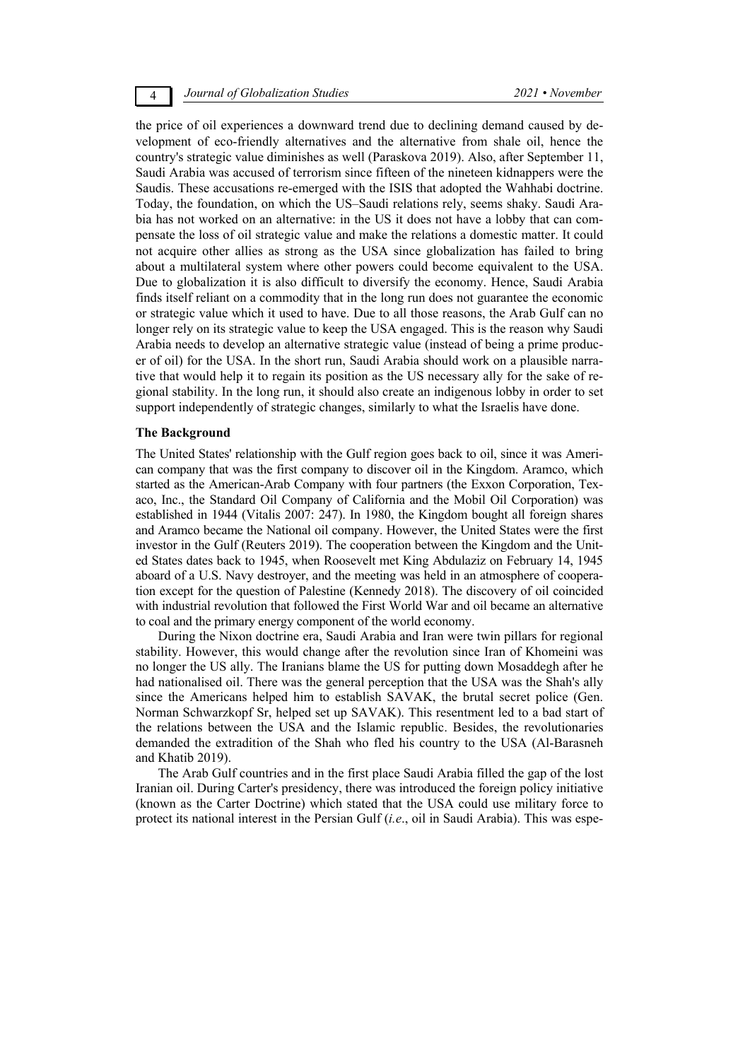4 *Journal of Globalization Studies 2021 • November* 

the price of oil experiences a downward trend due to declining demand caused by development of eco-friendly alternatives and the alternative from shale oil, hence the country's strategic value diminishes as well (Paraskova 2019). Also, after September 11, Saudi Arabia was accused of terrorism since fifteen of the nineteen kidnappers were the Saudis. These accusations re-emerged with the ISIS that adopted the Wahhabi doctrine. Today, the foundation, on which the US–Saudi relations rely, seems shaky. Saudi Arabia has not worked on an alternative: in the US it does not have a lobby that can compensate the loss of oil strategic value and make the relations a domestic matter. It could not acquire other allies as strong as the USA since globalization has failed to bring about a multilateral system where other powers could become equivalent to the USA. Due to globalization it is also difficult to diversify the economy. Hence, Saudi Arabia finds itself reliant on a commodity that in the long run does not guarantee the economic or strategic value which it used to have. Due to all those reasons, the Arab Gulf can no longer rely on its strategic value to keep the USA engaged. This is the reason why Saudi Arabia needs to develop an alternative strategic value (instead of being a prime producer of oil) for the USA. In the short run, Saudi Arabia should work on a plausible narrative that would help it to regain its position as the US necessary ally for the sake of regional stability. In the long run, it should also create an indigenous lobby in order to set support independently of strategic changes, similarly to what the Israelis have done.

#### **The Background**

The United States' relationship with the Gulf region goes back to oil, since it was American company that was the first company to discover oil in the Kingdom. Aramco, which started as the American-Arab Company with four partners (the Exxon Corporation, Texaco, Inc., the Standard Oil Company of California and the Mobil Oil Corporation) was established in 1944 (Vitalis 2007: 247). In 1980, the Kingdom bought all foreign shares and Aramco became the National oil company. However, the United States were the first investor in the Gulf (Reuters 2019). The cooperation between the Kingdom and the United States dates back to 1945, when Roosevelt met King Abdulaziz on February 14, 1945 aboard of a U.S. Navy destroyer, and the meeting was held in an atmosphere of cooperation except for the question of Palestine (Kennedy 2018). The discovery of oil coincided with industrial revolution that followed the First World War and oil became an alternative to coal and the primary energy component of the world economy.

During the Nixon doctrine era, Saudi Arabia and Iran were twin pillars for regional stability. However, this would change after the revolution since Iran of Khomeini was no longer the US ally. The Iranians blame the US for putting down Mosaddegh after he had nationalised oil. There was the general perception that the USA was the Shah's ally since the Americans helped him to establish SAVAK, the brutal secret police (Gen. Norman Schwarzkopf Sr, helped set up SAVAK). This resentment led to a bad start of the relations between the USA and the Islamic republic. Besides, the revolutionaries demanded the extradition of the Shah who fled his country to the USA (Al-Barasneh and Khatib 2019).

The Arab Gulf countries and in the first place Saudi Arabia filled the gap of the lost Iranian oil. During Carter's presidency, there was introduced the foreign policy initiative (known as the Carter Doctrine) which stated that the USA could use military force to protect its national interest in the Persian Gulf (*i.e*., oil in Saudi Arabia). This was espe-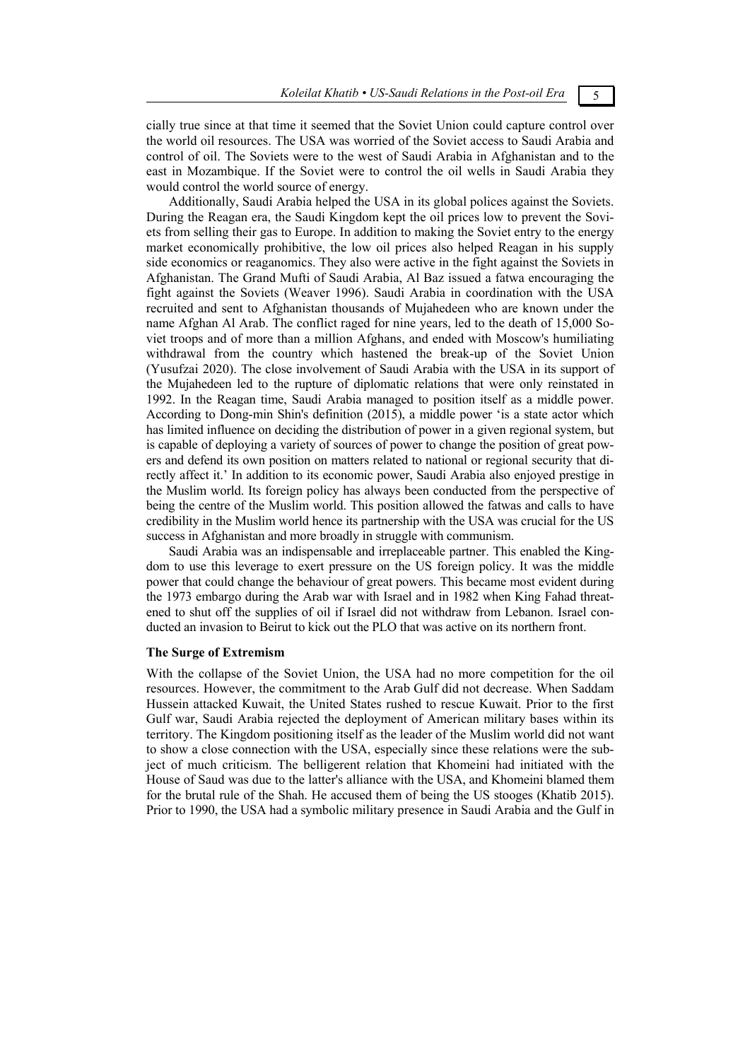cially true since at that time it seemed that the Soviet Union could capture control over the world oil resources. The USA was worried of the Soviet access to Saudi Arabia and control of oil. The Soviets were to the west of Saudi Arabia in Afghanistan and to the east in Mozambique. If the Soviet were to control the oil wells in Saudi Arabia they would control the world source of energy.

Additionally, Saudi Arabia helped the USA in its global polices against the Soviets. During the Reagan era, the Saudi Kingdom kept the oil prices low to prevent the Soviets from selling their gas to Europe. In addition to making the Soviet entry to the energy market economically prohibitive, the low oil prices also helped Reagan in his supply side economics or reaganomics. They also were active in the fight against the Soviets in Afghanistan. The Grand Mufti of Saudi Arabia, Al Baz issued a fatwa encouraging the fight against the Soviets (Weaver 1996). Saudi Arabia in coordination with the USA recruited and sent to Afghanistan thousands of Mujahedeen who are known under the name Afghan Al Arab. The conflict raged for nine years, led to the death of 15,000 Soviet troops and of more than a million Afghans, and ended with Moscow's humiliating withdrawal from the country which hastened the break-up of the Soviet Union (Yusufzai 2020). The close involvement of Saudi Arabia with the USA in its support of the Mujahedeen led to the rupture of diplomatic relations that were only reinstated in 1992. In the Reagan time, Saudi Arabia managed to position itself as a middle power. According to Dong-min Shin's definition (2015), a middle power 'is a state actor which has limited influence on deciding the distribution of power in a given regional system, but is capable of deploying a variety of sources of power to change the position of great powers and defend its own position on matters related to national or regional security that directly affect it.' In addition to its economic power, Saudi Arabia also enjoyed prestige in the Muslim world. Its foreign policy has always been conducted from the perspective of being the centre of the Muslim world. This position allowed the fatwas and calls to have credibility in the Muslim world hence its partnership with the USA was crucial for the US success in Afghanistan and more broadly in struggle with communism.

Saudi Arabia was an indispensable and irreplaceable partner. This enabled the Kingdom to use this leverage to exert pressure on the US foreign policy. It was the middle power that could change the behaviour of great powers. This became most evident during the 1973 embargo during the Arab war with Israel and in 1982 when King Fahad threatened to shut off the supplies of oil if Israel did not withdraw from Lebanon. Israel conducted an invasion to Beirut to kick out the PLO that was active on its northern front.

#### **The Surge of Extremism**

With the collapse of the Soviet Union, the USA had no more competition for the oil resources. However, the commitment to the Arab Gulf did not decrease. When Saddam Hussein attacked Kuwait, the United States rushed to rescue Kuwait. Prior to the first Gulf war, Saudi Arabia rejected the deployment of American military bases within its territory. The Kingdom positioning itself as the leader of the Muslim world did not want to show a close connection with the USA, especially since these relations were the subject of much criticism. The belligerent relation that Khomeini had initiated with the House of Saud was due to the latter's alliance with the USA, and Khomeini blamed them for the brutal rule of the Shah. He accused them of being the US stooges (Khatib 2015). Prior to 1990, the USA had a symbolic military presence in Saudi Arabia and the Gulf in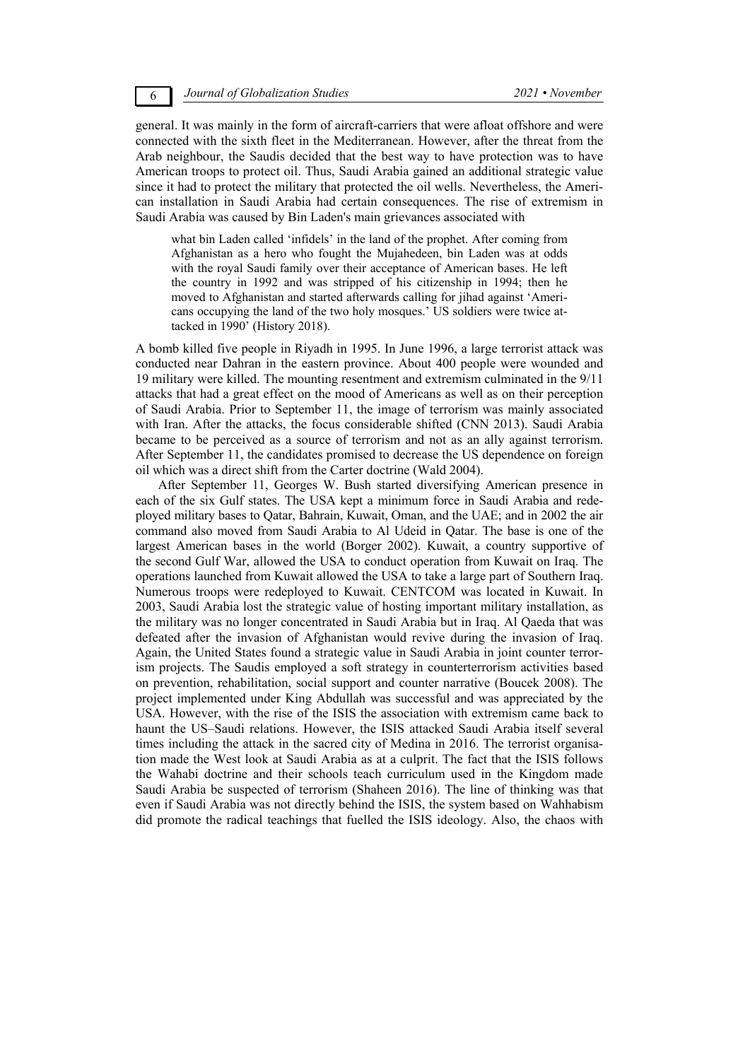### 6 *Journal of Globalization Studies 2021 • November*

general. It was mainly in the form of aircraft-carriers that were afloat offshore and were connected with the sixth fleet in the Mediterranean. However, after the threat from the Arab neighbour, the Saudis decided that the best way to have protection was to have American troops to protect oil. Thus, Saudi Arabia gained an additional strategic value since it had to protect the military that protected the oil wells. Nevertheless, the American installation in Saudi Arabia had certain consequences. The rise of extremism in Saudi Arabia was caused by Bin Laden's main grievances associated with

what bin Laden called 'infidels' in the land of the prophet. After coming from Afghanistan as a hero who fought the Mujahedeen, bin Laden was at odds with the royal Saudi family over their acceptance of American bases. He left the country in 1992 and was stripped of his citizenship in 1994; then he moved to Afghanistan and started afterwards calling for jihad against 'Americans occupying the land of the two holy mosques.' US soldiers were twice attacked in 1990' (History 2018).

A bomb killed five people in Riyadh in 1995. In June 1996, a large terrorist attack was conducted near Dahran in the eastern province. About 400 people were wounded and 19 military were killed. The mounting resentment and extremism culminated in the 9/11 attacks that had a great effect on the mood of Americans as well as on their perception of Saudi Arabia. Prior to September 11, the image of terrorism was mainly associated with Iran. After the attacks, the focus considerable shifted (CNN 2013). Saudi Arabia became to be perceived as a source of terrorism and not as an ally against terrorism. After September 11, the candidates promised to decrease the US dependence on foreign oil which was a direct shift from the Carter doctrine (Wald 2004).

After September 11, Georges W. Bush started diversifying American presence in each of the six Gulf states. The USA kept a minimum force in Saudi Arabia and redeployed military bases to Qatar, Bahrain, Kuwait, Oman, and the UAE; and in 2002 the air command also moved from Saudi Arabia to Al Udeid in Qatar. The base is one of the largest American bases in the world (Borger 2002). Kuwait, a country supportive of the second Gulf War, allowed the USA to conduct operation from Kuwait on Iraq. The operations launched from Kuwait allowed the USA to take a large part of Southern Iraq. Numerous troops were redeployed to Kuwait. CENTCOM was located in Kuwait. In 2003, Saudi Arabia lost the strategic value of hosting important military installation, as the military was no longer concentrated in Saudi Arabia but in Iraq. Al Qaeda that was defeated after the invasion of Afghanistan would revive during the invasion of Iraq. Again, the United States found a strategic value in Saudi Arabia in joint counter terrorism projects. The Saudis employed a soft strategy in counterterrorism activities based on prevention, rehabilitation, social support and counter narrative (Boucek 2008). The project implemented under King Abdullah was successful and was appreciated by the USA. However, with the rise of the ISIS the association with extremism came back to haunt the US–Saudi relations. However, the ISIS attacked Saudi Arabia itself several times including the attack in the sacred city of Medina in 2016. The terrorist organisation made the West look at Saudi Arabia as at a culprit. The fact that the ISIS follows the Wahabi doctrine and their schools teach curriculum used in the Kingdom made Saudi Arabia be suspected of terrorism (Shaheen 2016). The line of thinking was that even if Saudi Arabia was not directly behind the ISIS, the system based on Wahhabism did promote the radical teachings that fuelled the ISIS ideology. Also, the chaos with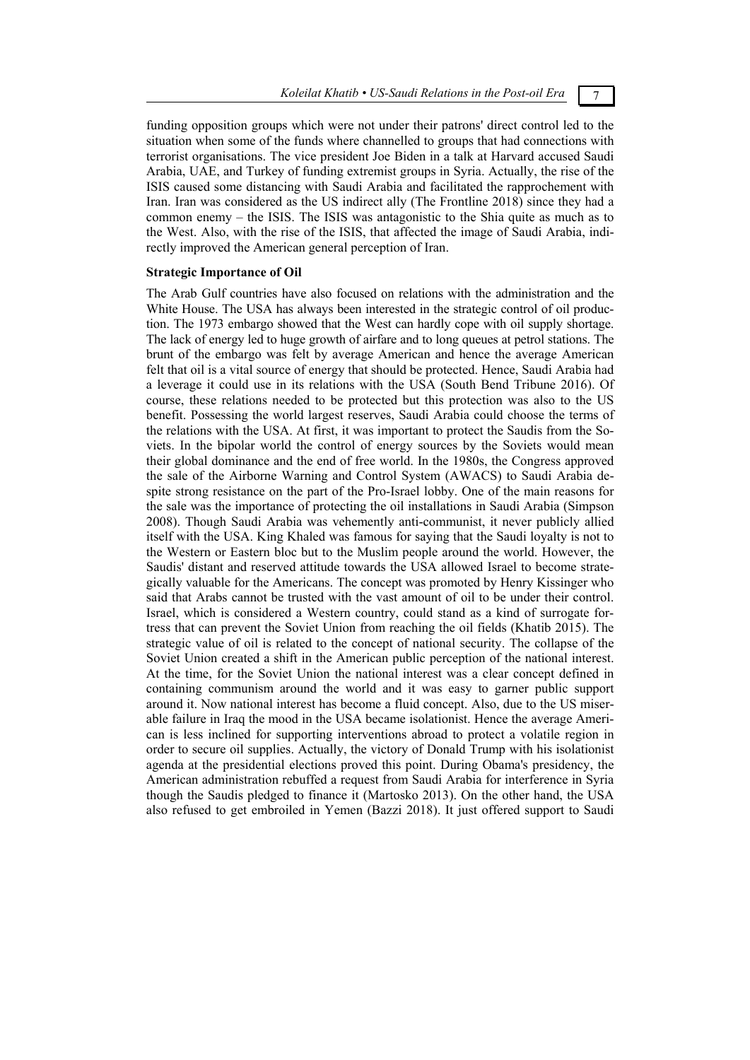funding opposition groups which were not under their patrons' direct control led to the situation when some of the funds where channelled to groups that had connections with terrorist organisations. The vice president Joe Biden in a talk at Harvard accused Saudi Arabia, UAE, and Turkey of funding extremist groups in Syria. Actually, the rise of the ISIS caused some distancing with Saudi Arabia and facilitated the rapprochement with Iran. Iran was considered as the US indirect ally (The Frontline 2018) since they had a common enemy – the ISIS. The ISIS was antagonistic to the Shia quite as much as to the West. Also, with the rise of the ISIS, that affected the image of Saudi Arabia, indirectly improved the American general perception of Iran.

## **Strategic Importance of Oil**

The Arab Gulf countries have also focused on relations with the administration and the White House. The USA has always been interested in the strategic control of oil production. The 1973 embargo showed that the West can hardly cope with oil supply shortage. The lack of energy led to huge growth of airfare and to long queues at petrol stations. The brunt of the embargo was felt by average American and hence the average American felt that oil is a vital source of energy that should be protected. Hence, Saudi Arabia had a leverage it could use in its relations with the USA (South Bend Tribune 2016). Of course, these relations needed to be protected but this protection was also to the US benefit. Possessing the world largest reserves, Saudi Arabia could choose the terms of the relations with the USA. At first, it was important to protect the Saudis from the Soviets. In the bipolar world the control of energy sources by the Soviets would mean their global dominance and the end of free world. In the 1980s, the Congress approved the sale of the Airborne Warning and Control System (AWACS) to Saudi Arabia despite strong resistance on the part of the Pro-Israel lobby. One of the main reasons for the sale was the importance of protecting the oil installations in Saudi Arabia (Simpson 2008). Though Saudi Arabia was vehemently anti-communist, it never publicly allied itself with the USA. King Khaled was famous for saying that the Saudi loyalty is not to the Western or Eastern bloc but to the Muslim people around the world. However, the Saudis' distant and reserved attitude towards the USA allowed Israel to become strategically valuable for the Americans. The concept was promoted by Henry Kissinger who said that Arabs cannot be trusted with the vast amount of oil to be under their control. Israel, which is considered a Western country, could stand as a kind of surrogate fortress that can prevent the Soviet Union from reaching the oil fields (Khatib 2015). The strategic value of oil is related to the concept of national security. The collapse of the Soviet Union created a shift in the American public perception of the national interest. At the time, for the Soviet Union the national interest was a clear concept defined in containing communism around the world and it was easy to garner public support around it. Now national interest has become a fluid concept. Also, due to the US miserable failure in Iraq the mood in the USA became isolationist. Hence the average American is less inclined for supporting interventions abroad to protect a volatile region in order to secure oil supplies. Actually, the victory of Donald Trump with his isolationist agenda at the presidential elections proved this point. During Obama's presidency, the American administration rebuffed a request from Saudi Arabia for interference in Syria though the Saudis pledged to finance it (Martosko 2013). On the other hand, the USA also refused to get embroiled in Yemen (Bazzi 2018). It just offered support to Saudi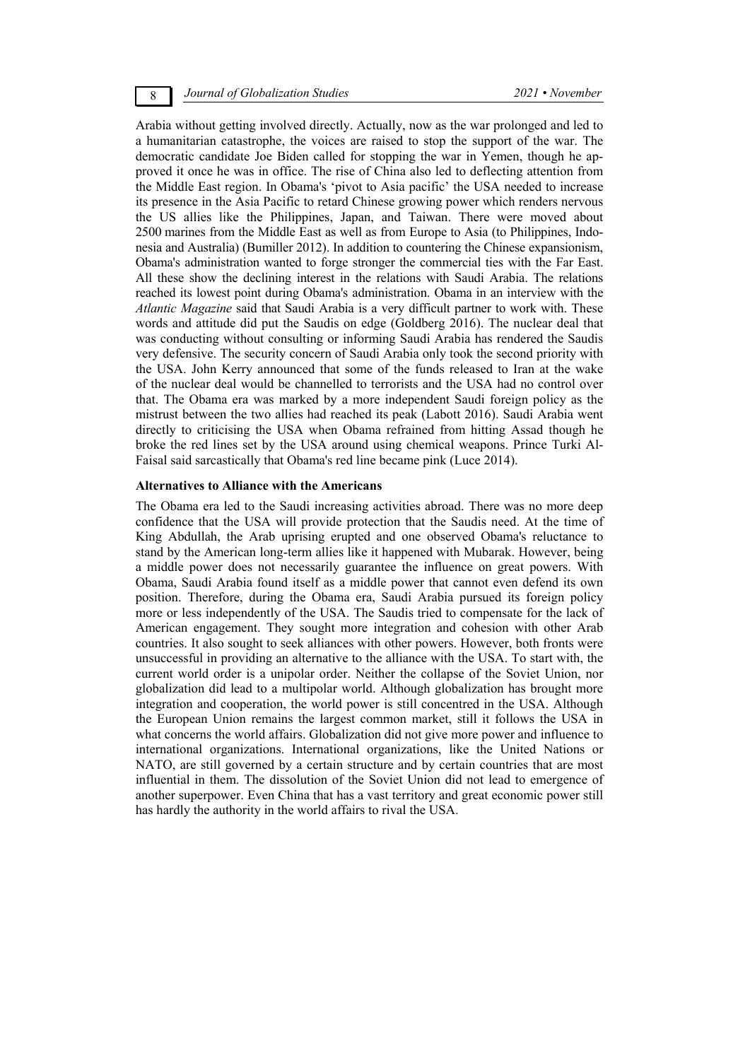### 8 *Journal of Globalization Studies 2021 • November*

Arabia without getting involved directly. Actually, now as the war prolonged and led to a humanitarian catastrophe, the voices are raised to stop the support of the war. The democratic candidate Joe Biden called for stopping the war in Yemen, though he approved it once he was in office. The rise of China also led to deflecting attention from the Middle East region. In Obama's 'pivot to Asia pacific' the USA needed to increase its presence in the Asia Pacific to retard Chinese growing power which renders nervous the US allies like the Philippines, Japan, and Taiwan. There were moved about 2500 marines from the Middle East as well as from Europe to Asia (to Philippines, Indonesia and Australia) (Bumiller 2012). In addition to countering the Chinese expansionism, Obama's administration wanted to forge stronger the commercial ties with the Far East. All these show the declining interest in the relations with Saudi Arabia. The relations reached its lowest point during Obama's administration. Obama in an interview with the *Atlantic Magazine* said that Saudi Arabia is a very difficult partner to work with. These words and attitude did put the Saudis on edge (Goldberg 2016). The nuclear deal that was conducting without consulting or informing Saudi Arabia has rendered the Saudis very defensive. The security concern of Saudi Arabia only took the second priority with the USA. John Kerry announced that some of the funds released to Iran at the wake of the nuclear deal would be channelled to terrorists and the USA had no control over that. The Obama era was marked by a more independent Saudi foreign policy as the mistrust between the two allies had reached its peak (Labott 2016). Saudi Arabia went directly to criticising the USA when Obama refrained from hitting Assad though he broke the red lines set by the USA around using chemical weapons. Prince Turki Al-Faisal said sarcastically that Obama's red line became pink (Luce 2014).

#### **Alternatives to Alliance with the Americans**

The Obama era led to the Saudi increasing activities abroad. There was no more deep confidence that the USA will provide protection that the Saudis need. At the time of King Abdullah, the Arab uprising erupted and one observed Obama's reluctance to stand by the American long-term allies like it happened with Mubarak. However, being a middle power does not necessarily guarantee the influence on great powers. With Obama, Saudi Arabia found itself as a middle power that cannot even defend its own position. Therefore, during the Obama era, Saudi Arabia pursued its foreign policy more or less independently of the USA. The Saudis tried to compensate for the lack of American engagement. They sought more integration and cohesion with other Arab countries. It also sought to seek alliances with other powers. However, both fronts were unsuccessful in providing an alternative to the alliance with the USA. To start with, the current world order is a unipolar order. Neither the collapse of the Soviet Union, nor globalization did lead to a multipolar world. Although globalization has brought more integration and cooperation, the world power is still concentred in the USA. Although the European Union remains the largest common market, still it follows the USA in what concerns the world affairs. Globalization did not give more power and influence to international organizations. International organizations, like the United Nations or NATO, are still governed by a certain structure and by certain countries that are most influential in them. The dissolution of the Soviet Union did not lead to emergence of another superpower. Even China that has a vast territory and great economic power still has hardly the authority in the world affairs to rival the USA.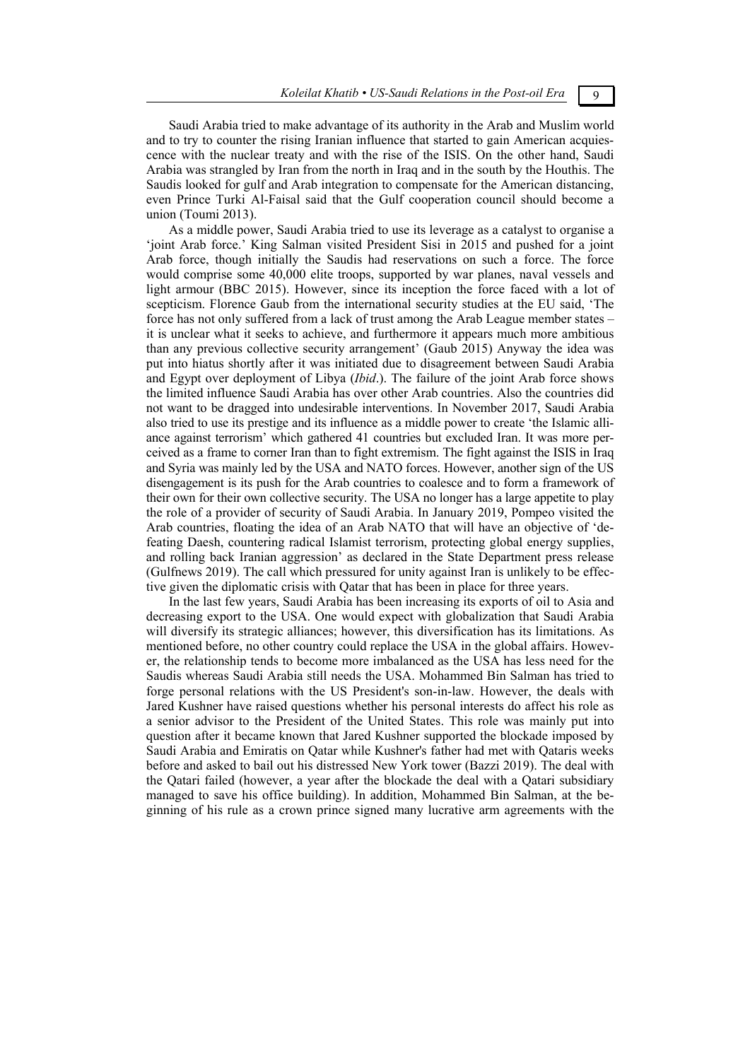Saudi Arabia tried to make advantage of its authority in the Arab and Muslim world and to try to counter the rising Iranian influence that started to gain American acquiescence with the nuclear treaty and with the rise of the ISIS. On the other hand, Saudi Arabia was strangled by Iran from the north in Iraq and in the south by the Houthis. The Saudis looked for gulf and Arab integration to compensate for the American distancing, even Prince Turki Al-Faisal said that the Gulf cooperation council should become a union (Toumi 2013).

As a middle power, Saudi Arabia tried to use its leverage as a catalyst to organise a 'joint Arab force.' King Salman visited President Sisi in 2015 and pushed for a joint Arab force, though initially the Saudis had reservations on such a force. The force would comprise some 40,000 elite troops, supported by war planes, naval vessels and light armour (BBC 2015). However, since its inception the force faced with a lot of scepticism. Florence Gaub from the international security studies at the EU said, 'The force has not only suffered from a lack of trust among the Arab League member states – it is unclear what it seeks to achieve, and furthermore it appears much more ambitious than any previous collective security arrangement' (Gaub 2015) Anyway the idea was put into hiatus shortly after it was initiated due to disagreement between Saudi Arabia and Egypt over deployment of Libya (*Ibid*.). The failure of the joint Arab force shows the limited influence Saudi Arabia has over other Arab countries. Also the countries did not want to be dragged into undesirable interventions. In November 2017, Saudi Arabia also tried to use its prestige and its influence as a middle power to create 'the Islamic alliance against terrorism' which gathered 41 countries but excluded Iran. It was more perceived as a frame to corner Iran than to fight extremism. The fight against the ISIS in Iraq and Syria was mainly led by the USA and NATO forces. However, another sign of the US disengagement is its push for the Arab countries to coalesce and to form a framework of their own for their own collective security. The USA no longer has a large appetite to play the role of a provider of security of Saudi Arabia. In January 2019, Pompeo visited the Arab countries, floating the idea of an Arab NATO that will have an objective of 'defeating Daesh, countering radical Islamist terrorism, protecting global energy supplies, and rolling back Iranian aggression' as declared in the State Department press release (Gulfnews 2019). The call which pressured for unity against Iran is unlikely to be effective given the diplomatic crisis with Qatar that has been in place for three years.

In the last few years, Saudi Arabia has been increasing its exports of oil to Asia and decreasing export to the USA. One would expect with globalization that Saudi Arabia will diversify its strategic alliances; however, this diversification has its limitations. As mentioned before, no other country could replace the USA in the global affairs. However, the relationship tends to become more imbalanced as the USA has less need for the Saudis whereas Saudi Arabia still needs the USA. Mohammed Bin Salman has tried to forge personal relations with the US President's son-in-law. However, the deals with Jared Kushner have raised questions whether his personal interests do affect his role as a senior advisor to the President of the United States. This role was mainly put into question after it became known that Jared Kushner supported the blockade imposed by Saudi Arabia and Emiratis on Qatar while Kushner's father had met with Qataris weeks before and asked to bail out his distressed New York tower (Bazzi 2019). The deal with the Qatari failed (however, a year after the blockade the deal with a Qatari subsidiary managed to save his office building). In addition, Mohammed Bin Salman, at the beginning of his rule as a crown prince signed many lucrative arm agreements with the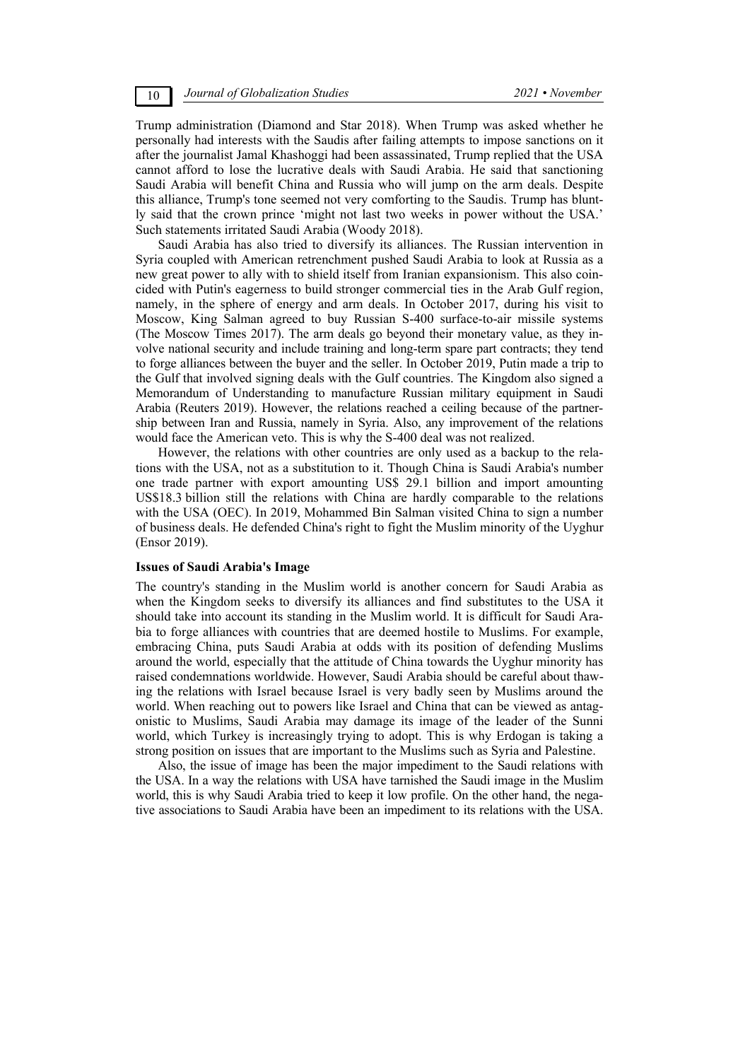Trump administration (Diamond and Star 2018). When Trump was asked whether he personally had interests with the Saudis after failing attempts to impose sanctions on it after the journalist Jamal Khashoggi had been assassinated, Trump replied that the USA cannot afford to lose the lucrative deals with Saudi Arabia. He said that sanctioning Saudi Arabia will benefit China and Russia who will jump on the arm deals. Despite this alliance, Trump's tone seemed not very comforting to the Saudis. Trump has bluntly said that the crown prince 'might not last two weeks in power without the USA.' Such statements irritated Saudi Arabia (Woody 2018).

Saudi Arabia has also tried to diversify its alliances. The Russian intervention in Syria coupled with American retrenchment pushed Saudi Arabia to look at Russia as a new great power to ally with to shield itself from Iranian expansionism. This also coincided with Putin's eagerness to build stronger commercial ties in the Arab Gulf region, namely, in the sphere of energy and arm deals. In October 2017, during his visit to Moscow, King Salman agreed to buy Russian S-400 surface-to-air missile systems (The Moscow Times 2017). The arm deals go beyond their monetary value, as they involve national security and include training and long-term spare part contracts; they tend to forge alliances between the buyer and the seller. In October 2019, Putin made a trip to the Gulf that involved signing deals with the Gulf countries. The Kingdom also signed a Memorandum of Understanding to manufacture Russian military equipment in Saudi Arabia (Reuters 2019). However, the relations reached a ceiling because of the partnership between Iran and Russia, namely in Syria. Also, any improvement of the relations would face the American veto. This is why the S-400 deal was not realized.

However, the relations with other countries are only used as a backup to the relations with the USA, not as a substitution to it. Though China is Saudi Arabia's number one trade partner with export amounting US\$ 29.1 billion and import amounting US\$18.3 billion still the relations with China are hardly comparable to the relations with the USA (OEC). In 2019, Mohammed Bin Salman visited China to sign a number of business deals. He defended China's right to fight the Muslim minority of the Uyghur (Ensor 2019).

#### **Issues of Saudi Arabia's Image**

The country's standing in the Muslim world is another concern for Saudi Arabia as when the Kingdom seeks to diversify its alliances and find substitutes to the USA it should take into account its standing in the Muslim world. It is difficult for Saudi Arabia to forge alliances with countries that are deemed hostile to Muslims. For example, embracing China, puts Saudi Arabia at odds with its position of defending Muslims around the world, especially that the attitude of China towards the Uyghur minority has raised condemnations worldwide. However, Saudi Arabia should be careful about thawing the relations with Israel because Israel is very badly seen by Muslims around the world. When reaching out to powers like Israel and China that can be viewed as antagonistic to Muslims, Saudi Arabia may damage its image of the leader of the Sunni world, which Turkey is increasingly trying to adopt. This is why Erdogan is taking a strong position on issues that are important to the Muslims such as Syria and Palestine.

Also, the issue of image has been the major impediment to the Saudi relations with the USA. In a way the relations with USA have tarnished the Saudi image in the Muslim world, this is why Saudi Arabia tried to keep it low profile. On the other hand, the negative associations to Saudi Arabia have been an impediment to its relations with the USA.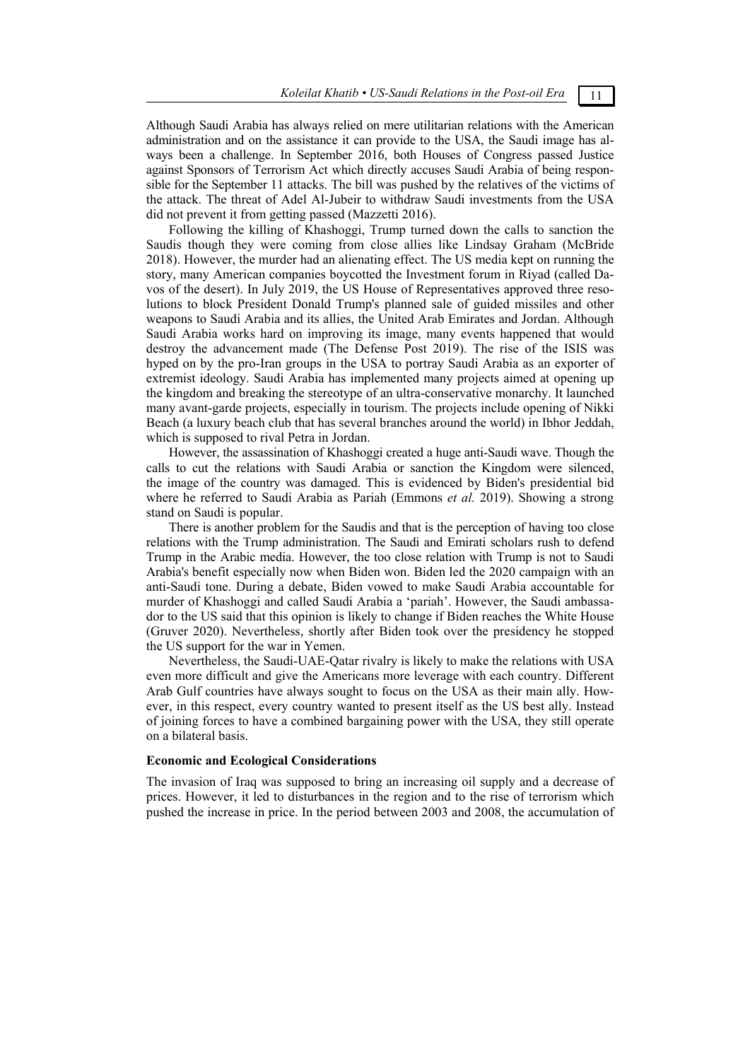Although Saudi Arabia has always relied on mere utilitarian relations with the American administration and on the assistance it can provide to the USA, the Saudi image has always been a challenge. In September 2016, both Houses of Congress passed Justice against Sponsors of Terrorism Act which directly accuses Saudi Arabia of being responsible for the September 11 attacks. The bill was pushed by the relatives of the victims of the attack. The threat of Adel Al-Jubeir to withdraw Saudi investments from the USA did not prevent it from getting passed (Mazzetti 2016).

Following the killing of Khashoggi, Trump turned down the calls to sanction the Saudis though they were coming from close allies like Lindsay Graham (McBride 2018). However, the murder had an alienating effect. The US media kept on running the story, many American companies boycotted the Investment forum in Riyad (called Davos of the desert). In July 2019, the US House of Representatives approved three resolutions to block President Donald Trump's planned sale of guided missiles and other weapons to Saudi Arabia and its allies, the United Arab Emirates and Jordan. Although Saudi Arabia works hard on improving its image, many events happened that would destroy the advancement made (The Defense Post 2019). The rise of the ISIS was hyped on by the pro-Iran groups in the USA to portray Saudi Arabia as an exporter of extremist ideology. Saudi Arabia has implemented many projects aimed at opening up the kingdom and breaking the stereotype of an ultra-conservative monarchy. It launched many avant-garde projects, especially in tourism. The projects include opening of Nikki Beach (a luxury beach club that has several branches around the world) in Ibhor Jeddah, which is supposed to rival Petra in Jordan.

However, the assassination of Khashoggi created a huge anti-Saudi wave. Though the calls to cut the relations with Saudi Arabia or sanction the Kingdom were silenced, the image of the country was damaged. This is evidenced by Biden's presidential bid where he referred to Saudi Arabia as Pariah (Emmons *et al.* 2019). Showing a strong stand on Saudi is popular.

There is another problem for the Saudis and that is the perception of having too close relations with the Trump administration. The Saudi and Emirati scholars rush to defend Trump in the Arabic media. However, the too close relation with Trump is not to Saudi Arabia's benefit especially now when Biden won. Biden led the 2020 campaign with an anti-Saudi tone. During a debate, Biden vowed to make Saudi Arabia accountable for murder of Khashoggi and called Saudi Arabia a 'pariah'. However, the Saudi ambassador to the US said that this opinion is likely to change if Biden reaches the White House (Gruver 2020). Nevertheless, shortly after Biden took over the presidency he stopped the US support for the war in Yemen.

Nevertheless, the Saudi-UAE-Qatar rivalry is likely to make the relations with USA even more difficult and give the Americans more leverage with each country. Different Arab Gulf countries have always sought to focus on the USA as their main ally. However, in this respect, every country wanted to present itself as the US best ally. Instead of joining forces to have a combined bargaining power with the USA, they still operate on a bilateral basis.

#### **Economic and Ecological Considerations**

The invasion of Iraq was supposed to bring an increasing oil supply and a decrease of prices. However, it led to disturbances in the region and to the rise of terrorism which pushed the increase in price. In the period between 2003 and 2008, the accumulation of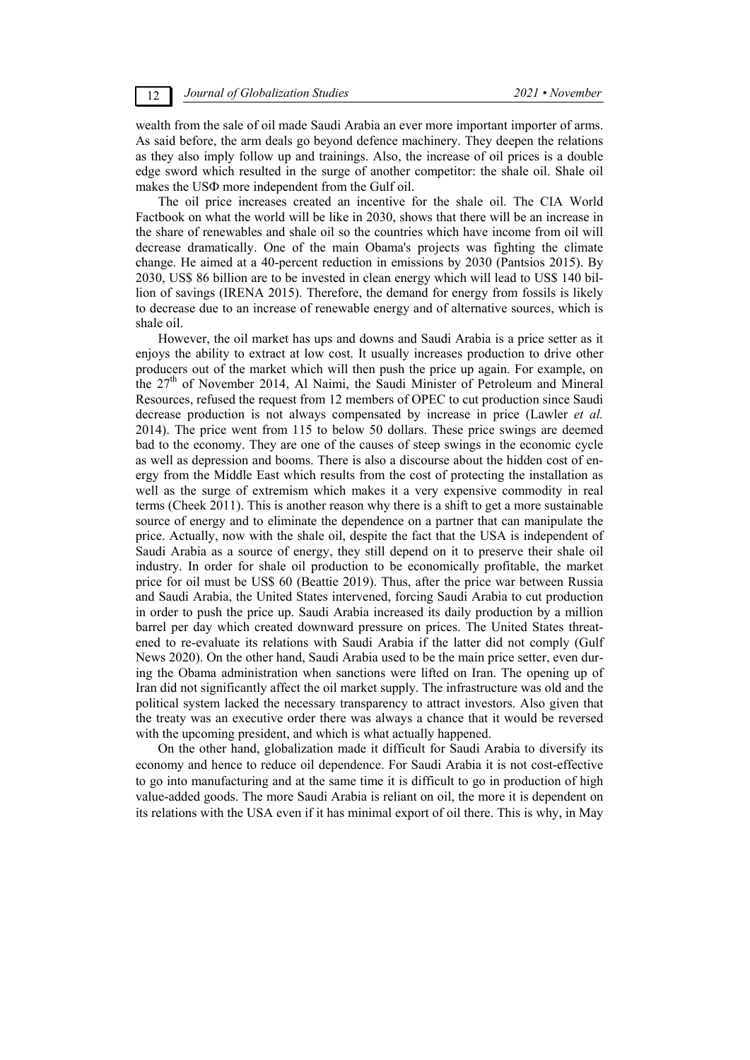wealth from the sale of oil made Saudi Arabia an ever more important importer of arms. As said before, the arm deals go beyond defence machinery. They deepen the relations as they also imply follow up and trainings. Also, the increase of oil prices is a double edge sword which resulted in the surge of another competitor: the shale oil. Shale oil makes the USФ more independent from the Gulf oil.

The oil price increases created an incentive for the shale oil. The CIA World Factbook on what the world will be like in 2030, shows that there will be an increase in the share of renewables and shale oil so the countries which have income from oil will decrease dramatically. One of the main Obama's projects was fighting the climate change. He aimed at a 40-percent reduction in emissions by 2030 (Pantsios 2015). By 2030, US\$ 86 billion are to be invested in clean energy which will lead to US\$ 140 billion of savings (IRENA 2015). Therefore, the demand for energy from fossils is likely to decrease due to an increase of renewable energy and of alternative sources, which is shale oil.

However, the oil market has ups and downs and Saudi Arabia is a price setter as it enjoys the ability to extract at low cost. It usually increases production to drive other producers out of the market which will then push the price up again. For example, on the  $27<sup>th</sup>$  of November 2014, Al Naimi, the Saudi Minister of Petroleum and Mineral Resources, refused the request from 12 members of OPEC to cut production since Saudi decrease production is not always compensated by increase in price (Lawler *et al.* 2014). The price went from 115 to below 50 dollars. These price swings are deemed bad to the economy. They are one of the causes of steep swings in the economic cycle as well as depression and booms. There is also a discourse about the hidden cost of energy from the Middle East which results from the cost of protecting the installation as well as the surge of extremism which makes it a very expensive commodity in real terms (Cheek 2011). This is another reason why there is a shift to get a more sustainable source of energy and to eliminate the dependence on a partner that can manipulate the price. Actually, now with the shale oil, despite the fact that the USA is independent of Saudi Arabia as a source of energy, they still depend on it to preserve their shale oil industry. In order for shale oil production to be economically profitable, the market price for oil must be US\$ 60 (Beattie 2019). Thus, after the price war between Russia and Saudi Arabia, the United States intervened, forcing Saudi Arabia to cut production in order to push the price up. Saudi Arabia increased its daily production by a million barrel per day which created downward pressure on prices. The United States threatened to re-evaluate its relations with Saudi Arabia if the latter did not comply (Gulf News 2020). On the other hand, Saudi Arabia used to be the main price setter, even during the Obama administration when sanctions were lifted on Iran. The opening up of Iran did not significantly affect the oil market supply. The infrastructure was old and the political system lacked the necessary transparency to attract investors. Also given that the treaty was an executive order there was always a chance that it would be reversed with the upcoming president, and which is what actually happened.

On the other hand, globalization made it difficult for Saudi Arabia to diversify its economy and hence to reduce oil dependence. For Saudi Arabia it is not cost-effective to go into manufacturing and at the same time it is difficult to go in production of high value-added goods. The more Saudi Arabia is reliant on oil, the more it is dependent on its relations with the USA even if it has minimal export of oil there. This is why, in May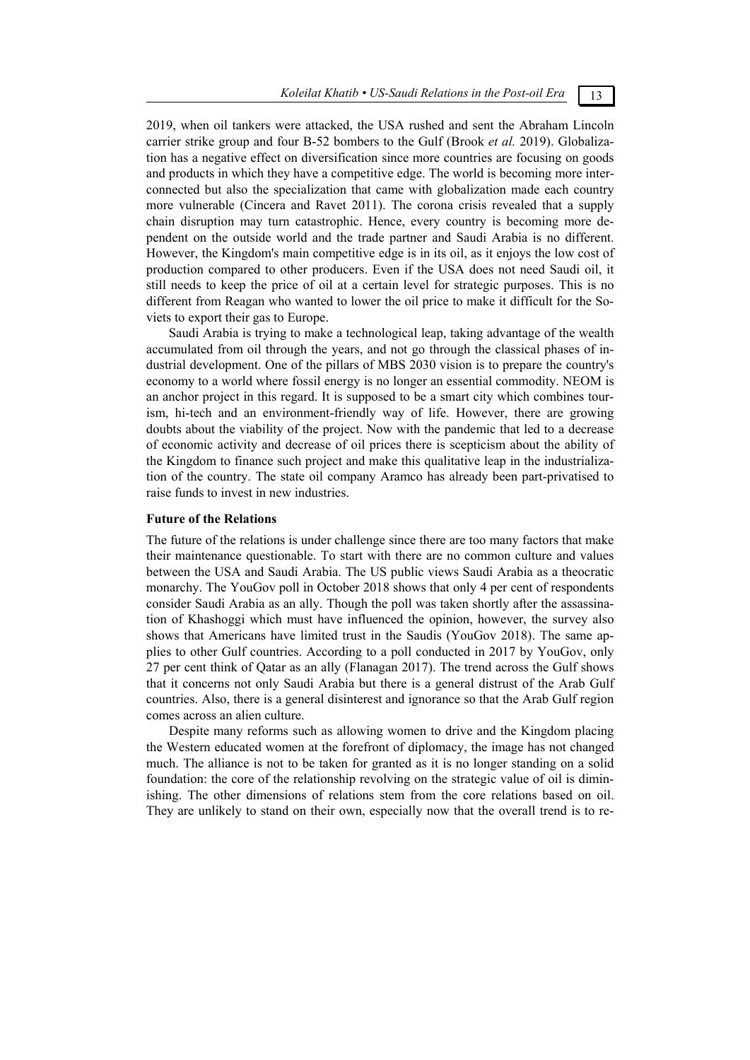2019, when oil tankers were attacked, the USA rushed and sent the Abraham Lincoln carrier strike group and four B-52 bombers to the Gulf (Brook *et al.* 2019). Globalization has a negative effect on diversification since more countries are focusing on goods and products in which they have a competitive edge. The world is becoming more interconnected but also the specialization that came with globalization made each country more vulnerable (Cincera and Ravet 2011). The corona crisis revealed that a supply chain disruption may turn catastrophic. Hence, every country is becoming more dependent on the outside world and the trade partner and Saudi Arabia is no different. However, the Kingdom's main competitive edge is in its oil, as it enjoys the low cost of production compared to other producers. Even if the USA does not need Saudi oil, it still needs to keep the price of oil at a certain level for strategic purposes. This is no different from Reagan who wanted to lower the oil price to make it difficult for the Soviets to export their gas to Europe.

Saudi Arabia is trying to make a technological leap, taking advantage of the wealth accumulated from oil through the years, and not go through the classical phases of industrial development. One of the pillars of MBS 2030 vision is to prepare the country's economy to a world where fossil energy is no longer an essential commodity. NEOM is an anchor project in this regard. It is supposed to be a smart city which combines tourism, hi-tech and an environment-friendly way of life. However, there are growing doubts about the viability of the project. Now with the pandemic that led to a decrease of economic activity and decrease of oil prices there is scepticism about the ability of the Kingdom to finance such project and make this qualitative leap in the industrialization of the country. The state oil company Aramco has already been part-privatised to raise funds to invest in new industries.

#### **Future of the Relations**

The future of the relations is under challenge since there are too many factors that make their maintenance questionable. To start with there are no common culture and values between the USA and Saudi Arabia. The US public views Saudi Arabia as a theocratic monarchy. The YouGov poll in October 2018 shows that only 4 per cent of respondents consider Saudi Arabia as an ally. Though the poll was taken shortly after the assassination of Khashoggi which must have influenced the opinion, however, the survey also shows that Americans have limited trust in the Saudis (YouGov 2018). The same applies to other Gulf countries. According to a poll conducted in 2017 by YouGov, only 27 per cent think of Qatar as an ally (Flanagan 2017). The trend across the Gulf shows that it concerns not only Saudi Arabia but there is a general distrust of the Arab Gulf countries. Also, there is a general disinterest and ignorance so that the Arab Gulf region comes across an alien culture.

Despite many reforms such as allowing women to drive and the Kingdom placing the Western educated women at the forefront of diplomacy, the image has not changed much. The alliance is not to be taken for granted as it is no longer standing on a solid foundation: the core of the relationship revolving on the strategic value of oil is diminishing. The other dimensions of relations stem from the core relations based on oil. They are unlikely to stand on their own, especially now that the overall trend is to re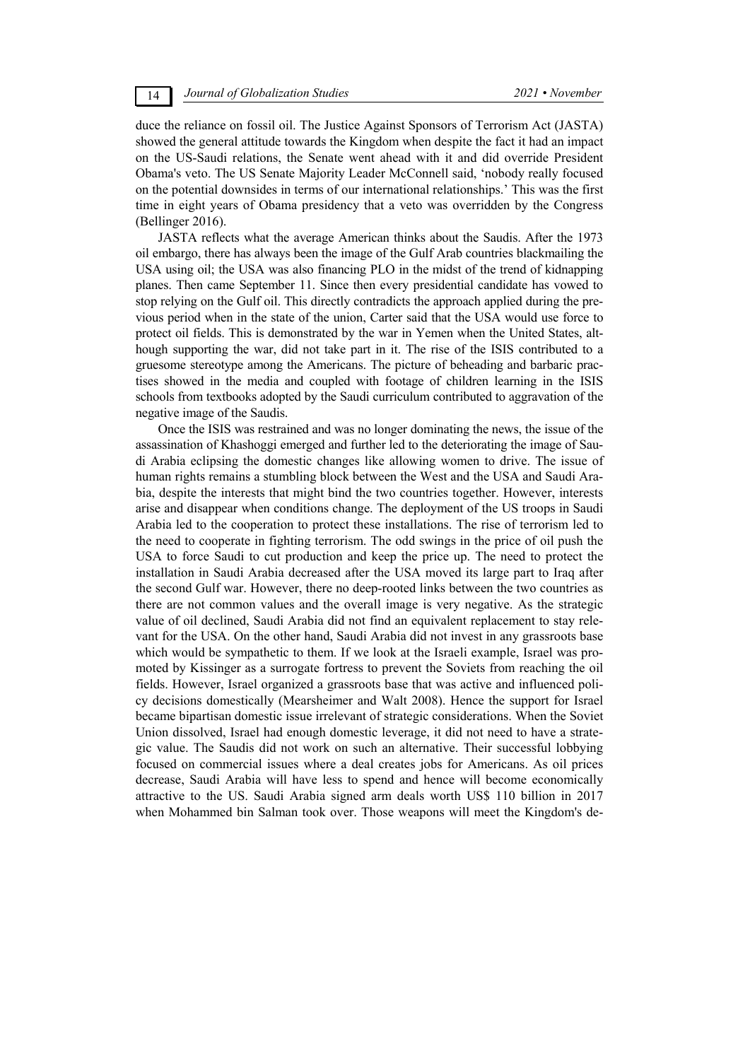duce the reliance on fossil oil. The Justice Against Sponsors of Terrorism Act (JASTA) showed the general attitude towards the Kingdom when despite the fact it had an impact on the US-Saudi relations, the Senate went ahead with it and did override President Obama's veto. The US Senate Majority Leader McConnell said, 'nobody really focused on the potential downsides in terms of our international relationships.' This was the first time in eight years of Obama presidency that a veto was overridden by the Congress (Bellinger 2016).

JASTA reflects what the average American thinks about the Saudis. After the 1973 oil embargo, there has always been the image of the Gulf Arab countries blackmailing the USA using oil; the USA was also financing PLO in the midst of the trend of kidnapping planes. Then came September 11. Since then every presidential candidate has vowed to stop relying on the Gulf oil. This directly contradicts the approach applied during the previous period when in the state of the union, Carter said that the USA would use force to protect oil fields. This is demonstrated by the war in Yemen when the United States, although supporting the war, did not take part in it. The rise of the ISIS contributed to a gruesome stereotype among the Americans. The picture of beheading and barbaric practises showed in the media and coupled with footage of children learning in the ISIS schools from textbooks adopted by the Saudi curriculum contributed to aggravation of the negative image of the Saudis.

Once the ISIS was restrained and was no longer dominating the news, the issue of the assassination of Khashoggi emerged and further led to the deteriorating the image of Saudi Arabia eclipsing the domestic changes like allowing women to drive. The issue of human rights remains a stumbling block between the West and the USA and Saudi Arabia, despite the interests that might bind the two countries together. However, interests arise and disappear when conditions change. The deployment of the US troops in Saudi Arabia led to the cooperation to protect these installations. The rise of terrorism led to the need to cooperate in fighting terrorism. The odd swings in the price of oil push the USA to force Saudi to cut production and keep the price up. The need to protect the installation in Saudi Arabia decreased after the USA moved its large part to Iraq after the second Gulf war. However, there no deep-rooted links between the two countries as there are not common values and the overall image is very negative. As the strategic value of oil declined, Saudi Arabia did not find an equivalent replacement to stay relevant for the USA. On the other hand, Saudi Arabia did not invest in any grassroots base which would be sympathetic to them. If we look at the Israeli example, Israel was promoted by Kissinger as a surrogate fortress to prevent the Soviets from reaching the oil fields. However, Israel organized a grassroots base that was active and influenced policy decisions domestically (Mearsheimer and Walt 2008). Hence the support for Israel became bipartisan domestic issue irrelevant of strategic considerations. When the Soviet Union dissolved, Israel had enough domestic leverage, it did not need to have a strategic value. The Saudis did not work on such an alternative. Their successful lobbying focused on commercial issues where a deal creates jobs for Americans. As oil prices decrease, Saudi Arabia will have less to spend and hence will become economically attractive to the US. Saudi Arabia signed arm deals worth US\$ 110 billion in 2017 when Mohammed bin Salman took over. Those weapons will meet the Kingdom's de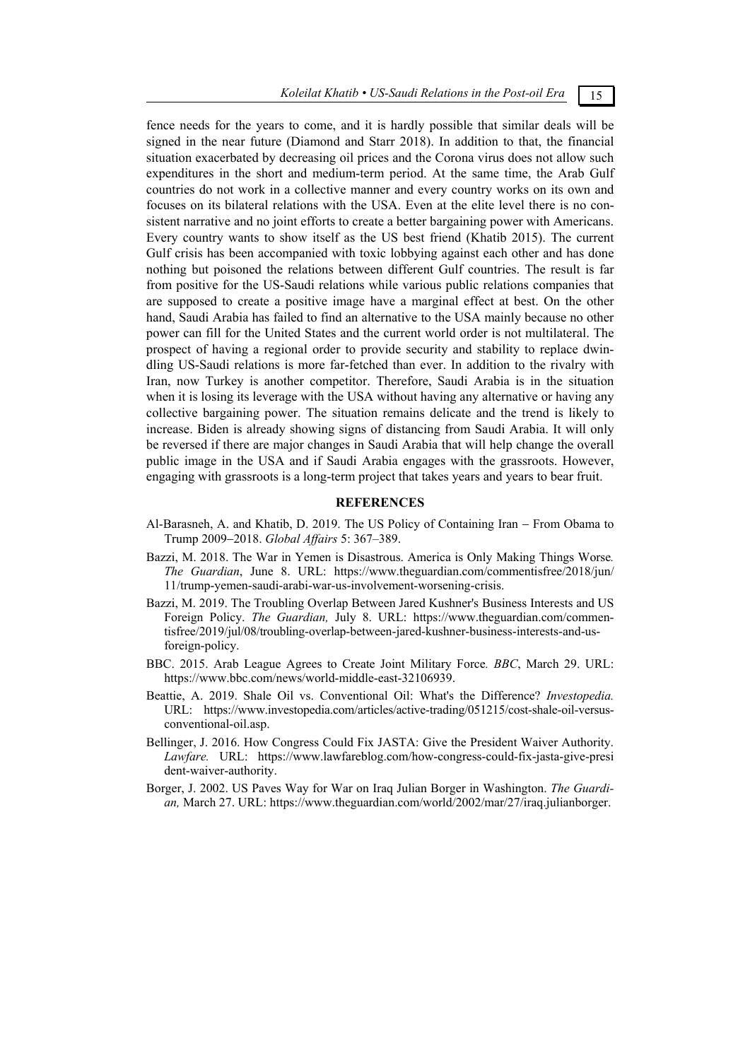*Koleilat Khatib • US-Saudi Relations in the Post-oil Era* 15

fence needs for the years to come, and it is hardly possible that similar deals will be signed in the near future (Diamond and Starr 2018). In addition to that, the financial situation exacerbated by decreasing oil prices and the Corona virus does not allow such expenditures in the short and medium-term period. At the same time, the Arab Gulf countries do not work in a collective manner and every country works on its own and focuses on its bilateral relations with the USA. Even at the elite level there is no consistent narrative and no joint efforts to create a better bargaining power with Americans. Every country wants to show itself as the US best friend (Khatib 2015). The current Gulf crisis has been accompanied with toxic lobbying against each other and has done nothing but poisoned the relations between different Gulf countries. The result is far from positive for the US-Saudi relations while various public relations companies that are supposed to create a positive image have a marginal effect at best. On the other hand, Saudi Arabia has failed to find an alternative to the USA mainly because no other power can fill for the United States and the current world order is not multilateral. The prospect of having a regional order to provide security and stability to replace dwindling US-Saudi relations is more far-fetched than ever. In addition to the rivalry with Iran, now Turkey is another competitor. Therefore, Saudi Arabia is in the situation when it is losing its leverage with the USA without having any alternative or having any collective bargaining power. The situation remains delicate and the trend is likely to increase. Biden is already showing signs of distancing from Saudi Arabia. It will only be reversed if there are major changes in Saudi Arabia that will help change the overall public image in the USA and if Saudi Arabia engages with the grassroots. However, engaging with grassroots is a long-term project that takes years and years to bear fruit.

# **REFERENCES**

- Al-Barasneh, A. and Khatib, D. 2019. The US Policy of Containing Iran From Obama to Trump 20092018. *Global Affairs* 5: 367–389.
- Bazzi, M. 2018. The War in Yemen is Disastrous. America is Only Making Things Worse*. The Guardian*, June 8. URL: https://www.theguardian.com/commentisfree/2018/jun/ 11/trump-yemen-saudi-arabi-war-us-involvement-worsening-crisis.
- Bazzi, M. 2019. The Troubling Overlap Between Jared Kushner's Business Interests and US Foreign Policy. *The Guardian,* July 8. URL: https://www.theguardian.com/commentisfree/2019/jul/08/troubling-overlap-between-jared-kushner-business-interests-and-usforeign-policy.
- BBC. 2015. Arab League Agrees to Create Joint Military Force*. BBC*, March 29. URL: https://www.bbc.com/news/world-middle-east-32106939.
- Beattie, A. 2019. Shale Oil vs. Conventional Oil: What's the Difference? *Investopedia.* URL: https://www.investopedia.com/articles/active-trading/051215/cost-shale-oil-versusconventional-oil.asp.
- Bellinger, J. 2016. How Congress Could Fix JASTA: Give the President Waiver Authority. *Lawfare.* URL: https://www.lawfareblog.com/how-congress-could-fix-jasta-give-presi dent-waiver-authority.
- Borger, J. 2002. US Paves Way for War on Iraq Julian Borger in Washington. *The Guardian,* March 27. URL: https://www.theguardian.com/world/2002/mar/27/iraq.julianborger.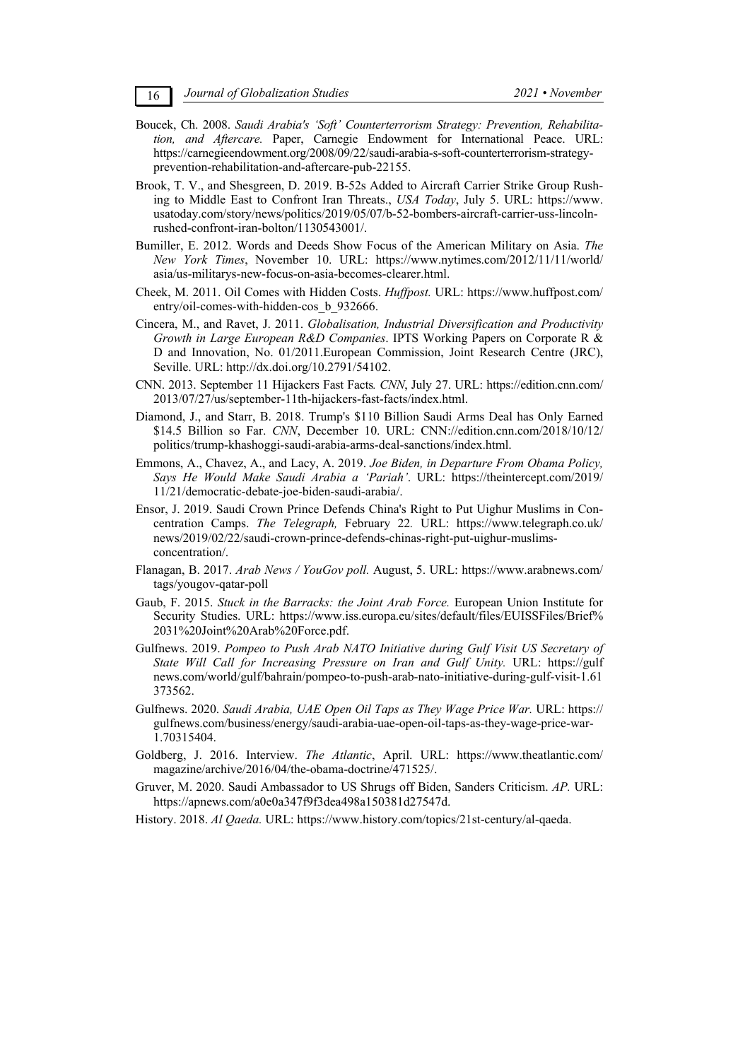- Boucek, Ch. 2008. *Saudi Arabia's 'Soft' Counterterrorism Strategy: Prevention, Rehabilitation, and Aftercare.* Paper, Carnegie Endowment for International Peace. URL: https://carnegieendowment.org/2008/09/22/saudi-arabia-s-soft-counterterrorism-strategyprevention-rehabilitation-and-aftercare-pub-22155.
- Brook, T. V., and Shesgreen, D. 2019. B-52s Added to Aircraft Carrier Strike Group Rushing to Middle East to Confront Iran Threats., *USA Today*, July 5. URL: https://www. usatoday.com/story/news/politics/2019/05/07/b-52-bombers-aircraft-carrier-uss-lincolnrushed-confront-iran-bolton/1130543001/.
- Bumiller, E. 2012. Words and Deeds Show Focus of the American Military on Asia. *The New York Times*, November 10. URL: https://www.nytimes.com/2012/11/11/world/ asia/us-militarys-new-focus-on-asia-becomes-clearer.html.
- Cheek, M. 2011. Oil Comes with Hidden Costs. *Huffpost.* URL: https://www.huffpost.com/ entry/oil-comes-with-hidden-cos b 932666.
- Cincera, M., and Ravet, J. 2011. *Globalisation, Industrial Diversification and Productivity Growth in Large European R&D Companies*. IPTS Working Papers on Corporate R & D and Innovation, No. 01/2011.European Commission, Joint Research Centre (JRC), Seville. URL: http://dx.doi.org/10.2791/54102.
- CNN. 2013. September 11 Hijackers Fast Facts*. CNN*, July 27. URL: https://edition.cnn.com/ 2013/07/27/us/september-11th-hijackers-fast-facts/index.html.
- Diamond, J., and Starr, B. 2018. Trump's \$110 Billion Saudi Arms Deal has Only Earned \$14.5 Billion so Far. *CNN*, December 10. URL: CNN://edition.cnn.com/2018/10/12/ politics/trump-khashoggi-saudi-arabia-arms-deal-sanctions/index.html.
- Emmons, A., Chavez, A., and Lacy, A. 2019. *Joe Biden, in Departure From Obama Policy, Says He Would Make Saudi Arabia a 'Pariah'*. URL: https://theintercept.com/2019/ 11/21/democratic-debate-joe-biden-saudi-arabia/.
- Ensor, J. 2019. Saudi Crown Prince Defends China's Right to Put Uighur Muslims in Concentration Camps. *The Telegraph,* February 22*.* URL: https://www.telegraph.co.uk/ news/2019/02/22/saudi-crown-prince-defends-chinas-right-put-uighur-muslimsconcentration/.
- Flanagan, B. 2017. *Arab News / YouGov poll.* August, 5. URL: https://www.arabnews.com/ tags/yougov-qatar-poll
- Gaub, F. 2015. *Stuck in the Barracks: the Joint Arab Force.* European Union Institute for Security Studies. URL: https://www.iss.europa.eu/sites/default/files/EUISSFiles/Brief% 2031%20Joint%20Arab%20Force.pdf.
- Gulfnews. 2019. *Pompeo to Push Arab NATO Initiative during Gulf Visit US Secretary of State Will Call for Increasing Pressure on Iran and Gulf Unity.* URL: https://gulf news.com/world/gulf/bahrain/pompeo-to-push-arab-nato-initiative-during-gulf-visit-1.61 373562.
- Gulfnews. 2020. *Saudi Arabia, UAE Open Oil Taps as They Wage Price War.* URL: https:// gulfnews.com/business/energy/saudi-arabia-uae-open-oil-taps-as-they-wage-price-war-1.70315404.
- Goldberg, J. 2016. Interview. *The Atlantic*, April. URL: https://www.theatlantic.com/ magazine/archive/2016/04/the-obama-doctrine/471525/.
- Gruver, M. 2020. Saudi Ambassador to US Shrugs off Biden, Sanders Criticism. *AP.* URL: https://apnews.com/a0e0a347f9f3dea498a150381d27547d.
- History. 2018. *Al Qaeda.* URL: https://www.history.com/topics/21st-century/al-qaeda.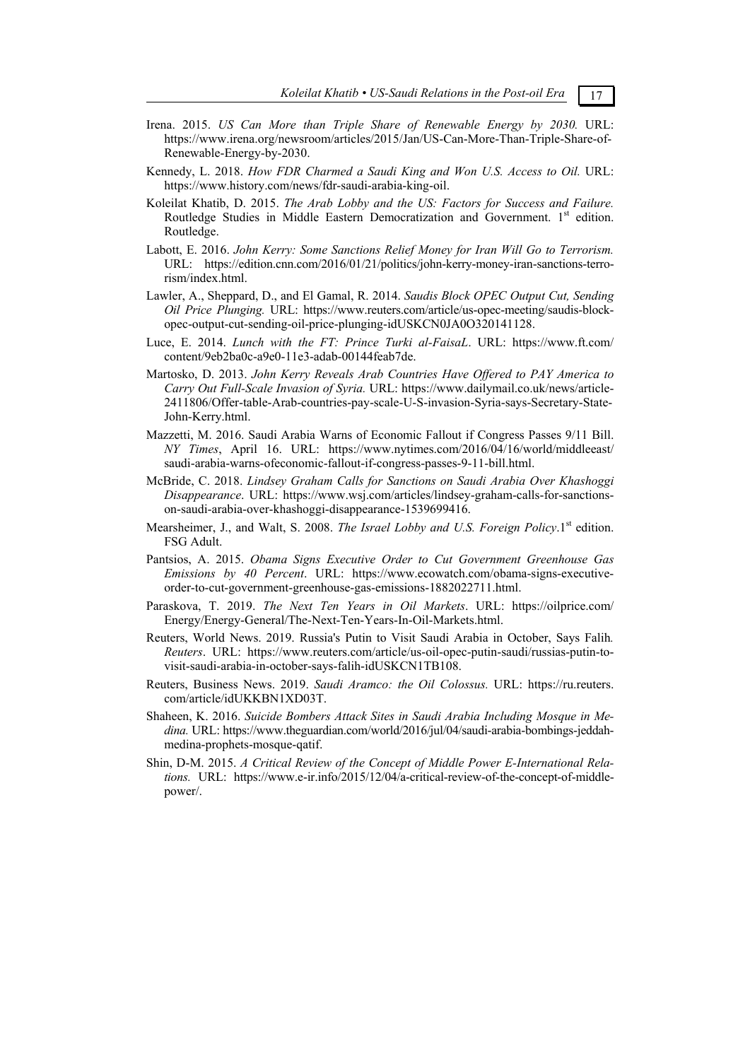- 
- Irena. 2015. *US Can More than Triple Share of Renewable Energy by 2030.* URL: https://www.irena.org/newsroom/articles/2015/Jan/US-Can-More-Than-Triple-Share-of-Renewable-Energy-by-2030.
- Kennedy, L. 2018. *How FDR Charmed a Saudi King and Won U.S. Access to Oil.* URL: https://www.history.com/news/fdr-saudi-arabia-king-oil.
- Koleilat Khatib, D. 2015. *The Arab Lobby and the US: Factors for Success and Failure.*  Routledge Studies in Middle Eastern Democratization and Government. 1st edition. Routledge.
- Labott, E. 2016. *John Kerry: Some Sanctions Relief Money for Iran Will Go to Terrorism.* URL: https://edition.cnn.com/2016/01/21/politics/john-kerry-money-iran-sanctions-terrorism/index.html.
- Lawler, A., Sheppard, D., and El Gamal, R. 2014. *Saudis Block OPEC Output Cut, Sending Oil Price Plunging.* URL: https://www.reuters.com/article/us-opec-meeting/saudis-blockopec-output-cut-sending-oil-price-plunging-idUSKCN0JA0O320141128.
- Luce, E. 2014. *Lunch with the FT: Prince Turki al-FaisaL*. URL: https://www.ft.com/ content/9eb2ba0c-a9e0-11e3-adab-00144feab7de.
- Martosko, D. 2013. *John Kerry Reveals Arab Countries Have Offered to PAY America to Carry Out Full-Scale Invasion of Syria.* URL: https://www.dailymail.co.uk/news/article-2411806/Offer-table-Arab-countries-pay-scale-U-S-invasion-Syria-says-Secretary-State-John-Kerry.html.
- Mazzetti, M. 2016. Saudi Arabia Warns of Economic Fallout if Congress Passes 9/11 Bill. *NY Times*, April 16. URL: https://www.nytimes.com/2016/04/16/world/middleeast/ saudi-arabia-warns-ofeconomic-fallout-if-congress-passes-9-11-bill.html.
- McBride, C. 2018. *Lindsey Graham Calls for Sanctions on Saudi Arabia Over Khashoggi Disappearance*. URL: https://www.wsj.com/articles/lindsey-graham-calls-for-sanctionson-saudi-arabia-over-khashoggi-disappearance-1539699416.
- Mearsheimer, J., and Walt, S. 2008. *The Israel Lobby and U.S. Foreign Policy*.1<sup>st</sup> edition. FSG Adult.
- Pantsios, A. 2015. *Obama Signs Executive Order to Cut Government Greenhouse Gas Emissions by 40 Percent*. URL: https://www.ecowatch.com/obama-signs-executiveorder-to-cut-government-greenhouse-gas-emissions-1882022711.html.
- Paraskova, T. 2019. *The Next Ten Years in Oil Markets*. URL: https://oilprice.com/ Energy/Energy-General/The-Next-Ten-Years-In-Oil-Markets.html.
- Reuters, World News. 2019. Russia's Putin to Visit Saudi Arabia in October, Says Falih*. Reuters*. URL: https://www.reuters.com/article/us-oil-opec-putin-saudi/russias-putin-tovisit-saudi-arabia-in-october-says-falih-idUSKCN1TB108.
- Reuters, Business News. 2019. *Saudi Aramco: the Oil Colossus.* URL: https://ru.reuters. com/article/idUKKBN1XD03T.
- Shaheen, K. 2016. *Suicide Bombers Attack Sites in Saudi Arabia Including Mosque in Medina.* URL: https://www.theguardian.com/world/2016/jul/04/saudi-arabia-bombings-jeddahmedina-prophets-mosque-qatif.
- Shin, D-M. 2015. *A Critical Review of the Concept of Middle Power E-International Relations.* URL: https://www.e-ir.info/2015/12/04/a-critical-review-of-the-concept-of-middlepower/.